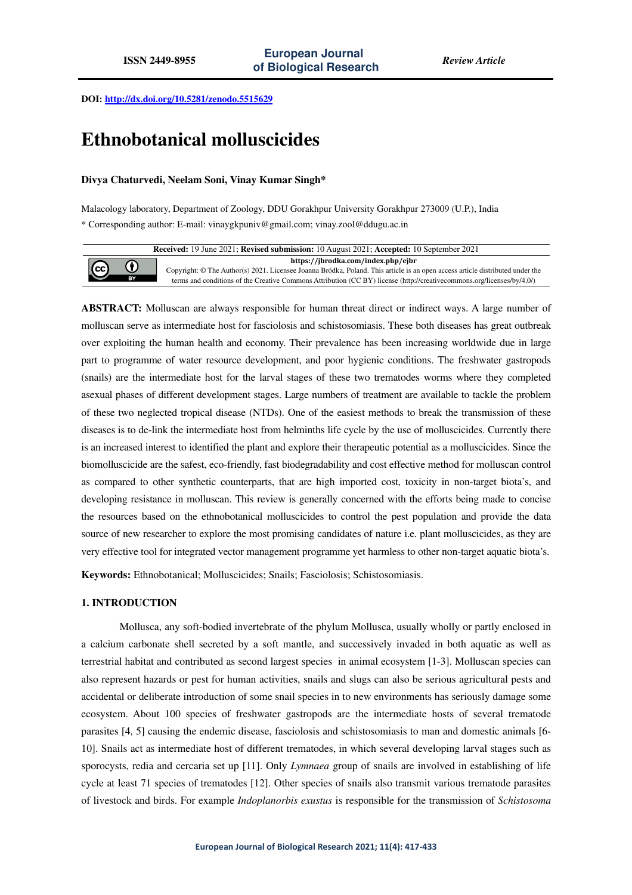**DOI: http://dx.doi.org/10.5281/zenodo.5515629** 

# **Ethnobotanical molluscicides**

# **Divya Chaturvedi, Neelam Soni, Vinay Kumar Singh\***

Malacology laboratory, Department of Zoology, DDU Gorakhpur University Gorakhpur 273009 (U.P.), India \* Corresponding author: E-mail: vinaygkpuniv@gmail.com; vinay.zool@ddugu.ac.in

**Received:** 19 June 2021; **Revised submission:** 10 August 2021; **Accepted:** 10 September 2021 **https://jbrodka.com/index.php/ejbr**  $\bf{G}$ (cc Copyright: © The Author(s) 2021. Licensee Joanna Bródka, Poland. This article is an open access article distributed under the terms and conditions of the Creative Commons Attribution (CC BY) license (http://creativecommons.org/licenses/by/4.0/)

**ABSTRACT:** Molluscan are always responsible for human threat direct or indirect ways. A large number of molluscan serve as intermediate host for fasciolosis and schistosomiasis. These both diseases has great outbreak over exploiting the human health and economy. Their prevalence has been increasing worldwide due in large part to programme of water resource development, and poor hygienic conditions. The freshwater gastropods (snails) are the intermediate host for the larval stages of these two trematodes worms where they completed asexual phases of different development stages. Large numbers of treatment are available to tackle the problem of these two neglected tropical disease (NTDs). One of the easiest methods to break the transmission of these diseases is to de-link the intermediate host from helminths life cycle by the use of molluscicides. Currently there is an increased interest to identified the plant and explore their therapeutic potential as a molluscicides. Since the biomolluscicide are the safest, eco-friendly, fast biodegradability and cost effective method for molluscan control as compared to other synthetic counterparts, that are high imported cost, toxicity in non-target biota's, and developing resistance in molluscan. This review is generally concerned with the efforts being made to concise the resources based on the ethnobotanical molluscicides to control the pest population and provide the data source of new researcher to explore the most promising candidates of nature i.e. plant molluscicides, as they are very effective tool for integrated vector management programme yet harmless to other non-target aquatic biota's.

**Keywords:** Ethnobotanical; Molluscicides; Snails; Fasciolosis; Schistosomiasis.

## **1. INTRODUCTION**

Mollusca, any soft-bodied invertebrate of the phylum Mollusca, usually wholly or partly enclosed in a calcium carbonate shell secreted by a soft mantle, and successively invaded in both aquatic as well as terrestrial habitat and contributed as second largest species in animal ecosystem [1-3]. Molluscan species can also represent hazards or pest for human activities, snails and slugs can also be serious agricultural pests and accidental or deliberate introduction of some snail species in to new environments has seriously damage some ecosystem. About 100 species of freshwater gastropods are the intermediate hosts of several trematode parasites [4, 5] causing the endemic disease, fasciolosis and schistosomiasis to man and domestic animals [6- 10]. Snails act as intermediate host of different trematodes, in which several developing larval stages such as sporocysts, redia and cercaria set up [11]. Only *Lymnaea* group of snails are involved in establishing of life cycle at least 71 species of trematodes [12]. Other species of snails also transmit various trematode parasites of livestock and birds. For example *Indoplanorbis exustus* is responsible for the transmission of *Schistosoma*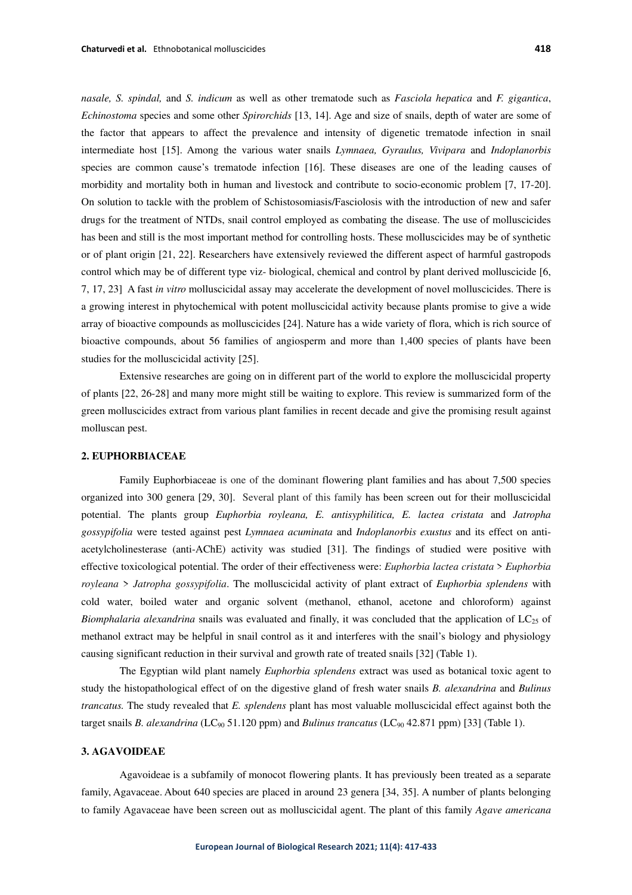*nasale, S. spindal,* and *S. indicum* as well as other trematode such as *Fasciola hepatica* and *F. gigantica*, *Echinostoma* species and some other *Spirorchids* [13, 14]. Age and size of snails, depth of water are some of the factor that appears to affect the prevalence and intensity of digenetic trematode infection in snail intermediate host [15]. Among the various water snails *Lymnaea, Gyraulus, Vivipara* and *Indoplanorbis* species are common cause's trematode infection [16]. These diseases are one of the leading causes of morbidity and mortality both in human and livestock and contribute to socio-economic problem [7, 17-20]. On solution to tackle with the problem of Schistosomiasis/Fasciolosis with the introduction of new and safer drugs for the treatment of NTDs, snail control employed as combating the disease. The use of molluscicides has been and still is the most important method for controlling hosts. These molluscicides may be of synthetic or of plant origin [21, 22]. Researchers have extensively reviewed the different aspect of harmful gastropods control which may be of different type viz- biological, chemical and control by plant derived molluscicide [6, 7, 17, 23] A fast *in vitro* molluscicidal assay may accelerate the development of novel molluscicides. There is a growing interest in phytochemical with potent molluscicidal activity because plants promise to give a wide array of bioactive compounds as molluscicides [24]. Nature has a wide variety of flora, which is rich source of bioactive compounds, about 56 families of angiosperm and more than 1,400 species of plants have been studies for the molluscicidal activity [25].

Extensive researches are going on in different part of the world to explore the molluscicidal property of plants [22, 26-28] and many more might still be waiting to explore. This review is summarized form of the green molluscicides extract from various plant families in recent decade and give the promising result against molluscan pest.

## **2. EUPHORBIACEAE**

Family Euphorbiaceae is one of the dominant flowering plant families and has about 7,500 species organized into 300 genera [29, 30]. Several plant of this family has been screen out for their molluscicidal potential. The plants group *Euphorbia royleana, E. antisyphilitica, E. lactea cristata* and *Jatropha gossypifolia* were tested against pest *Lymnaea acuminata* and *Indoplanorbis exustus* and its effect on antiacetylcholinesterase (anti-AChE) activity was studied [31]. The findings of studied were positive with effective toxicological potential. The order of their effectiveness were: *Euphorbia lactea cristata* > *Euphorbia royleana* > *Jatropha gossypifolia*. The molluscicidal activity of plant extract of *Euphorbia splendens* with cold water, boiled water and organic solvent (methanol, ethanol, acetone and chloroform) against *Biomphalaria alexandrina* snails was evaluated and finally, it was concluded that the application of LC<sub>25</sub> of methanol extract may be helpful in snail control as it and interferes with the snail's biology and physiology causing significant reduction in their survival and growth rate of treated snails [32] (Table 1).

The Egyptian wild plant namely *Euphorbia splendens* extract was used as botanical toxic agent to study the histopathological effect of on the digestive gland of fresh water snails *B. alexandrina* and *Bulinus trancatus.* The study revealed that *E. splendens* plant has most valuable molluscicidal effect against both the target snails *B. alexandrina* (LC<sub>90</sub> 51.120 ppm) and *Bulinus trancatus* (LC<sub>90</sub> 42.871 ppm) [33] (Table 1).

#### **3. AGAVOIDEAE**

Agavoideae is a subfamily of monocot flowering plants. It has previously been treated as a separate family, Agavaceae. About 640 species are placed in around 23 genera [34, 35]. A number of plants belonging to family Agavaceae have been screen out as molluscicidal agent. The plant of this family *Agave americana*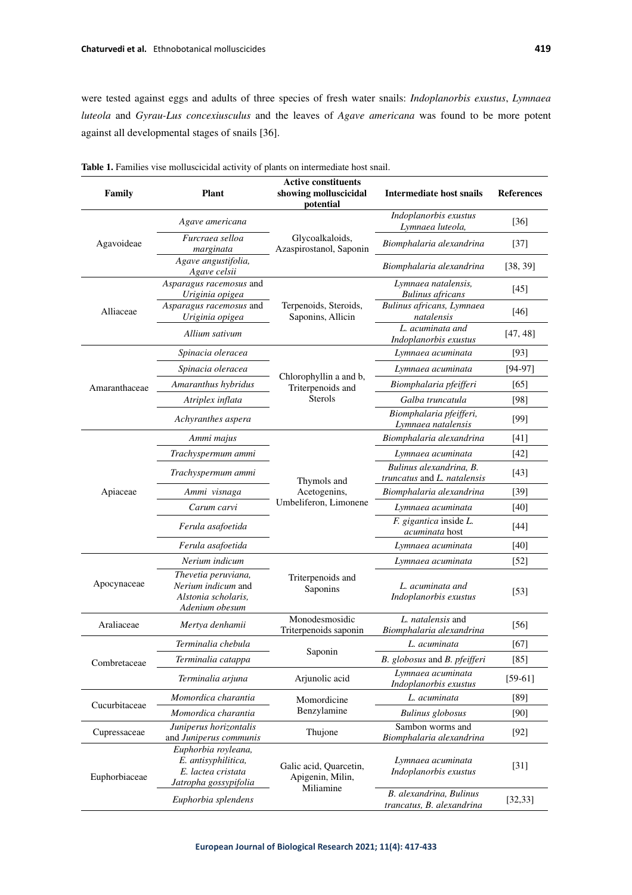were tested against eggs and adults of three species of fresh water snails: *Indoplanorbis exustus*, *Lymnaea luteola* and *Gyrau-Lus concexiusculus* and the leaves of *Agave americana* was found to be more potent against all developmental stages of snails [36].

| Family        | <b>Plant</b>                                                                              | <b>Active constituents</b><br>showing molluscicidal<br>potential | Intermediate host snails                               | <b>References</b>  |
|---------------|-------------------------------------------------------------------------------------------|------------------------------------------------------------------|--------------------------------------------------------|--------------------|
| Agavoideae    | Agave americana                                                                           | Glycoalkaloids,<br>Azaspirostanol, Saponin                       | Indoplanorbis exustus<br>Lymnaea luteola,              | $[36]$             |
|               | Furcraea selloa<br>marginata                                                              |                                                                  | Biomphalaria alexandrina                               | $[37]$             |
|               | Agave angustifolia,<br>Agave celsii                                                       |                                                                  | Biomphalaria alexandrina                               | [38, 39]           |
| Alliaceae     | Asparagus racemosus and<br>Uriginia opigea                                                | Terpenoids, Steroids,<br>Saponins, Allicin                       | Lymnaea natalensis,<br><b>Bulinus</b> africans         | $[45]$             |
|               | Asparagus racemosus and<br>Uriginia opigea                                                |                                                                  | Bulinus africans, Lymnaea<br>natalensis                | $[46]$             |
|               | Allium sativum                                                                            |                                                                  | L. acuminata and<br>Indoplanorbis exustus              | [47, 48]           |
|               | Spinacia oleracea                                                                         | Chlorophyllin a and b,<br>Triterpenoids and<br>Sterols           | Lymnaea acuminata                                      | $[93]$             |
| Amaranthaceae | Spinacia oleracea                                                                         |                                                                  | Lymnaea acuminata                                      | $[94-97]$          |
|               | Amaranthus hybridus                                                                       |                                                                  | Biomphalaria pfeifferi                                 | [65]               |
|               | Atriplex inflata                                                                          |                                                                  | Galba truncatula                                       | [98]               |
|               | Achyranthes aspera                                                                        |                                                                  | Biomphalaria pfeifferi,<br>Lymnaea natalensis          | $[99]$             |
| Apiaceae      | Ammi majus                                                                                | Thymols and<br>Acetogenins,<br>Umbeliferon, Limonene             | Biomphalaria alexandrina                               | $[41]$             |
|               | Trachyspermum ammi                                                                        |                                                                  | Lymnaea acuminata                                      | $[42]$             |
|               | Trachyspermum ammi                                                                        |                                                                  | Bulinus alexandrina, B.<br>truncatus and L. natalensis | $[43]$             |
|               | Ammi visnaga                                                                              |                                                                  | Biomphalaria alexandrina                               | $[39]$             |
|               | Carum carvi                                                                               |                                                                  | Lymnaea acuminata                                      | $[40]$             |
|               | Ferula asafoetida                                                                         |                                                                  | F. gigantica inside L.<br><i>acuminata</i> host        | $[44]$             |
|               | Ferula asafoetida                                                                         |                                                                  | Lymnaea acuminata                                      | $[40]$             |
|               | Nerium indicum                                                                            | Triterpenoids and<br>Saponins                                    | Lymnaea acuminata                                      | $\lceil 52 \rceil$ |
| Apocynaceae   | Thevetia peruviana,<br>Nerium indicum and<br>Alstonia scholaris.<br>Adenium obesum        |                                                                  | L. acuminata and<br>Indoplanorbis exustus              | $[53]$             |
| Araliaceae    | Mertya denhamii                                                                           | Monodesmosidic<br>Triterpenoids saponin                          | L. natalensis and<br>Biomphalaria alexandrina          | $[56]$             |
| Combretaceae  | Terminalia chebula                                                                        | Saponin                                                          | L. acuminata                                           | [67]               |
|               | Terminalia catappa                                                                        |                                                                  | B. globosus and B. pfeifferi                           | $[85]$             |
|               | Terminalia arjuna                                                                         | Arjunolic acid                                                   | Lymnaea acuminata<br>Indoplanorbis exustus             | $[59-61]$          |
| Cucurbitaceae | Momordica charantia                                                                       | Momordicine<br>Benzylamine                                       | L. acuminata                                           | [89]               |
|               | Momordica charantia                                                                       |                                                                  | <b>Bulinus</b> globosus                                | $[90]$             |
| Cupressaceae  | Juniperus horizontalis<br>and Juniperus communis                                          | Thujone                                                          | Sambon worms and<br>Biomphalaria alexandrina           | $[92]$             |
| Euphorbiaceae | Euphorbia royleana,<br>E. antisyphilitica,<br>E. lactea cristata<br>Jatropha gossypifolia | Galic acid, Quarcetin,<br>Apigenin, Milin,<br>Miliamine          | Lymnaea acuminata<br>Indoplanorbis exustus             | $[31]$             |
|               | Euphorbia splendens                                                                       |                                                                  | B. alexandrina, Bulinus<br>trancatus, B. alexandrina   | [32, 33]           |

**Table 1.** Families vise molluscicidal activity of plants on intermediate host snail.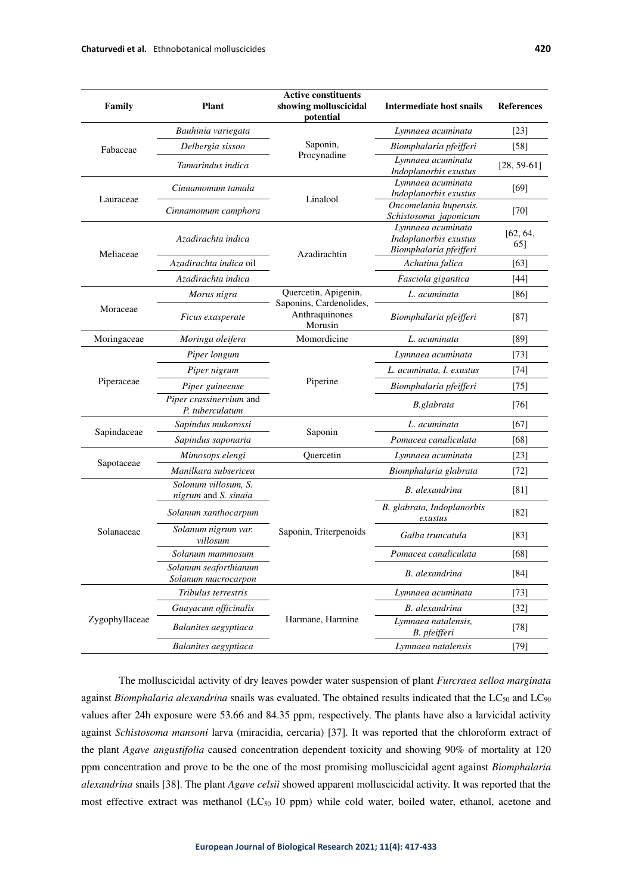| Family         | <b>Plant</b>                                 | <b>Active constituents</b><br>showing molluscicidal<br>potential             | <b>Intermediate host snails</b>                                      | <b>References</b> |
|----------------|----------------------------------------------|------------------------------------------------------------------------------|----------------------------------------------------------------------|-------------------|
| Fabaceae       | Bauhinia variegata                           | Saponin,<br>Procynadine                                                      | Lymnaea acuminata                                                    | $[23]$            |
|                | Delbergia sissoo                             |                                                                              | Biomphalaria pfeifferi                                               | $[58]$            |
|                | Tamarindus indica                            |                                                                              | Lymnaea acuminata<br>Indoplanorbis exustus                           | $[28, 59-61]$     |
| Lauraceae      | Cinnamomum tamala                            | Linalool                                                                     | Lymnaea acuminata<br>Indoplanorbis exustus                           | [69]              |
|                | Cinnamomum camphora                          |                                                                              | Oncomelania hupensis.<br>Schistosoma japonicum                       | $[70]$            |
| Meliaceae      | Azadirachta indica                           | Azadirachtin                                                                 | Lymnaea acuminata<br>Indoplanorbis exustus<br>Biomphalaria pfeifferi | [62, 64,<br>65]   |
|                | Azadirachta indica oil                       |                                                                              | Achatina fulica                                                      | [63]              |
|                | Azadirachta indica                           |                                                                              | Fasciola gigantica                                                   | $[44]$            |
|                | Morus nigra                                  | Quercetin, Apigenin,<br>Saponins, Cardenolides,<br>Anthraquinones<br>Morusin | L. acuminata                                                         | [86]              |
| Moraceae       | Ficus exasperate                             |                                                                              | Biomphalaria pfeifferi                                               | $[87]$            |
| Moringaceae    | Moringa oleifera                             | Momordicine                                                                  | L. acuminata                                                         | [89]              |
|                | Piper longum                                 | Piperine                                                                     | Lymnaea acuminata                                                    | $[73]$            |
| Piperaceae     | Piper nigrum                                 |                                                                              | L. acuminata, I. exustus                                             | $[74]$            |
|                | Piper guineense                              |                                                                              | Biomphalaria pfeifferi                                               | $[75]$            |
|                | Piper crassinervium and<br>P. tuberculatum   |                                                                              | B.glabrata                                                           | $[76]$            |
|                | Sapindus mukorossi                           | Saponin                                                                      | L. acuminata                                                         | [67]              |
| Sapindaceae    | Sapindus saponaria                           |                                                                              | Pomacea canaliculata                                                 | [68]              |
|                | Mimosops elengi                              | Quercetin                                                                    | Lymnaea acuminata                                                    | $[23]$            |
| Sapotaceae     | Manilkara subsericea                         |                                                                              | Biomphalaria glabrata                                                | $[72]$            |
| Solanaceae     | Solonum villosum, S.<br>nigrum and S. sinaia | Saponin, Triterpenoids                                                       | <b>B.</b> alexandrina                                                | [81]              |
|                | Solanum xanthocarpum                         |                                                                              | B. glabrata, Indoplanorbis<br>exustus                                | [82]              |
|                | Solanum nigrum var.<br>villosum              |                                                                              | Galba truncatula                                                     | $[83]$            |
|                | Solanum mammosum                             |                                                                              | Pomacea canaliculata                                                 | [68]              |
|                | Solanum seaforthianum<br>Solanum macrocarpon |                                                                              | B. alexandrina                                                       | $[84]$            |
| Zygophyllaceae | Tribulus terrestris                          | Harmane, Harmine                                                             | Lymnaea acuminata                                                    | $[73]$            |
|                | Guayacum officinalis                         |                                                                              | B. alexandrina                                                       | $[32]$            |
|                | Balanites aegyptiaca                         |                                                                              | Lymnaea natalensis,<br>B. pfeifferi                                  | $[78]$            |
|                | Balanites aegyptiaca                         |                                                                              | Lymnaea natalensis                                                   | $[79]$            |

The molluscicidal activity of dry leaves powder water suspension of plant *Furcraea selloa marginata*  against *Biomphalaria alexandrina* snails was evaluated. The obtained results indicated that the LC<sub>50</sub> and LC<sub>90</sub> values after 24h exposure were 53.66 and 84.35 ppm, respectively. The plants have also a larvicidal activity against *Schistosoma mansoni* larva (miracidia, cercaria) [37]. It was reported that the chloroform extract of the plant *Agave angustifolia* caused concentration dependent toxicity and showing 90% of mortality at 120 ppm concentration and prove to be the one of the most promising molluscicidal agent against *Biomphalaria alexandrina* snails [38]. The plant *Agave celsii* showed apparent molluscicidal activity. It was reported that the most effective extract was methanol  $(LC_{50} 10$  ppm) while cold water, boiled water, ethanol, acetone and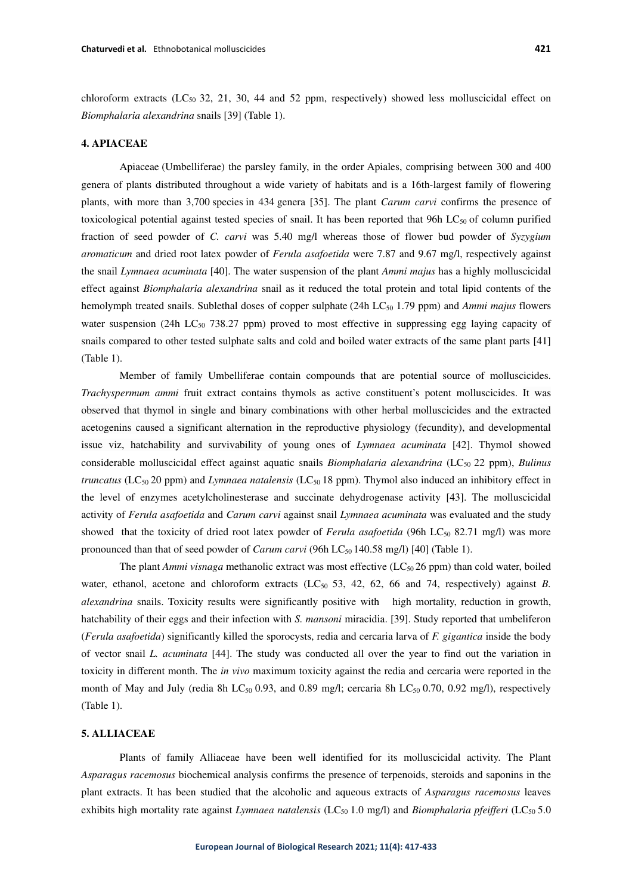chloroform extracts (LC<sub>50</sub> 32, 21, 30, 44 and 52 ppm, respectively) showed less molluscicidal effect on *Biomphalaria alexandrina* snails [39] (Table 1).

## **4. APIACEAE**

Apiaceae (Umbelliferae) the parsley family, in the order Apiales, comprising between 300 and 400 genera of plants distributed throughout a wide variety of habitats and is a 16th-largest family of flowering plants, with more than 3,700 species in 434 genera [35]. The plant *Carum carvi* confirms the presence of toxicological potential against tested species of snail. It has been reported that 96h  $LC_{50}$  of column purified fraction of seed powder of *C. carvi* was 5.40 mg/l whereas those of flower bud powder of *Syzygium aromaticum* and dried root latex powder of *Ferula asafoetida* were 7.87 and 9.67 mg/l, respectively against the snail *Lymnaea acuminata* [40]. The water suspension of the plant *Ammi majus* has a highly molluscicidal effect against *Biomphalaria alexandrina* snail as it reduced the total protein and total lipid contents of the hemolymph treated snails. Sublethal doses of copper sulphate (24h LC<sub>50</sub> 1.79 ppm) and *Ammi majus* flowers water suspension (24h LC<sub>50</sub> 738.27 ppm) proved to most effective in suppressing egg laying capacity of snails compared to other tested sulphate salts and cold and boiled water extracts of the same plant parts [41] (Table 1).

Member of family Umbelliferae contain compounds that are potential source of molluscicides. *Trachyspermum ammi* fruit extract contains thymols as active constituent's potent molluscicides. It was observed that thymol in single and binary combinations with other herbal molluscicides and the extracted acetogenins caused a significant alternation in the reproductive physiology (fecundity), and developmental issue viz, hatchability and survivability of young ones of *Lymnaea acuminata* [42]. Thymol showed considerable molluscicidal effect against aquatic snails *Biomphalaria alexandrina* (LC50 22 ppm), *Bulinus truncatus* (LC<sub>50</sub> 20 ppm) and *Lymnaea natalensis* (LC<sub>50</sub> 18 ppm). Thymol also induced an inhibitory effect in the level of enzymes acetylcholinesterase and succinate dehydrogenase activity [43]. The molluscicidal activity of *Ferula asafoetida* and *Carum carvi* against snail *Lymnaea acuminata* was evaluated and the study showed that the toxicity of dried root latex powder of *Ferula asafoetida* (96h LC<sub>50</sub> 82.71 mg/l) was more pronounced than that of seed powder of *Carum carvi* (96h LC<sub>50</sub> 140.58 mg/l) [40] (Table 1).

The plant *Ammi visnaga* methanolic extract was most effective (LC<sub>50</sub>26 ppm) than cold water, boiled water, ethanol, acetone and chloroform extracts (LC<sub>50</sub> 53, 42, 62, 66 and 74, respectively) against *B*. *alexandrina* snails. Toxicity results were significantly positive with high mortality, reduction in growth, hatchability of their eggs and their infection with *S. mansoni* miracidia. [39]. Study reported that umbeliferon (*Ferula asafoetida*) significantly killed the sporocysts, redia and cercaria larva of *F. gigantica* inside the body of vector snail *L. acuminata* [44]. The study was conducted all over the year to find out the variation in toxicity in different month. The *in vivo* maximum toxicity against the redia and cercaria were reported in the month of May and July (redia 8h LC $_{50}$  0.93, and 0.89 mg/l; cercaria 8h LC $_{50}$  0.70, 0.92 mg/l), respectively (Table 1).

## **5. ALLIACEAE**

Plants of family Alliaceae have been well identified for its molluscicidal activity. The Plant *Asparagus racemosus* biochemical analysis confirms the presence of terpenoids, steroids and saponins in the plant extracts. It has been studied that the alcoholic and aqueous extracts of *Asparagus racemosus* leaves exhibits high mortality rate against *Lymnaea natalensis* (LC<sub>50</sub> 1.0 mg/l) and *Biomphalaria pfeifferi* (LC<sub>50</sub> 5.0)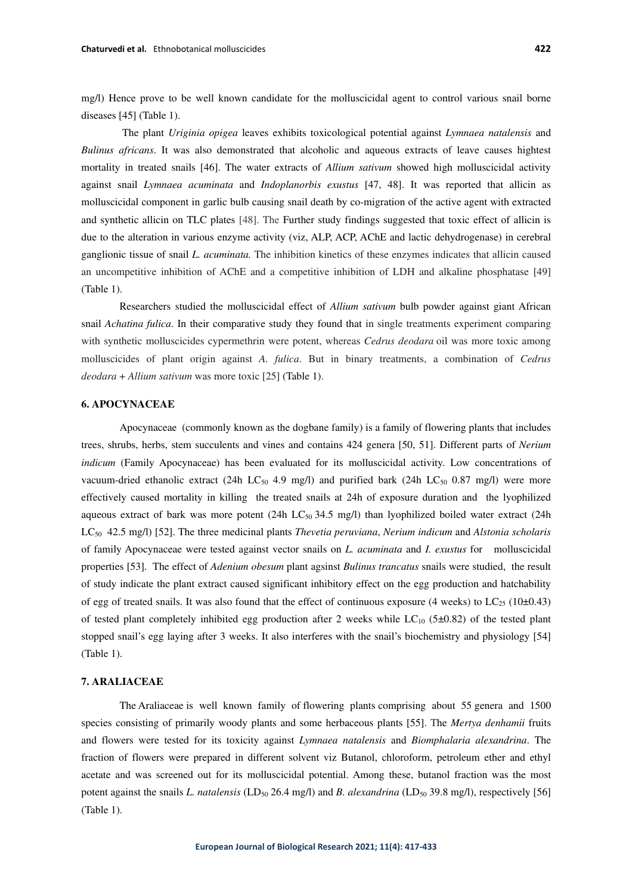mg/l) Hence prove to be well known candidate for the molluscicidal agent to control various snail borne diseases [45] (Table 1).

The plant *Uriginia opigea* leaves exhibits toxicological potential against *Lymnaea natalensis* and *Bulinus africans*. It was also demonstrated that alcoholic and aqueous extracts of leave causes hightest mortality in treated snails [46]. The water extracts of *Allium sativum* showed high molluscicidal activity against snail *Lymnaea acuminata* and *Indoplanorbis exustus* [47, 48]. It was reported that allicin as molluscicidal component in garlic bulb causing snail death by co-migration of the active agent with extracted and synthetic allicin on TLC plates [48]. The Further study findings suggested that toxic effect of allicin is due to the alteration in various enzyme activity (viz, ALP, ACP, AChE and lactic dehydrogenase) in cerebral ganglionic tissue of snail *L. acuminata.* The inhibition kinetics of these enzymes indicates that allicin caused an uncompetitive inhibition of AChE and a competitive inhibition of LDH and alkaline phosphatase [49] (Table 1).

Researchers studied the molluscicidal effect of *Allium sativum* bulb powder against giant African snail *Achatina fulica*. In their comparative study they found that in single treatments experiment comparing with synthetic molluscicides cypermethrin were potent, whereas *Cedrus deodara* oil was more toxic among molluscicides of plant origin against *A. fulica*. But in binary treatments, a combination of *Cedrus deodara* + *Allium sativum* was more toxic [25] (Table 1).

# **6. APOCYNACEAE**

Apocynaceae (commonly known as the dogbane family) is a family of flowering plants that includes trees, shrubs, herbs, stem succulents and vines and contains 424 genera [50, 51]. Different parts of *Nerium indicum* (Family Apocynaceae) has been evaluated for its molluscicidal activity. Low concentrations of vacuum-dried ethanolic extract (24h LC<sub>50</sub> 4.9 mg/l) and purified bark (24h LC<sub>50</sub> 0.87 mg/l) were more effectively caused mortality in killing the treated snails at 24h of exposure duration and the lyophilized aqueous extract of bark was more potent (24h LC $_{50}$  34.5 mg/l) than lyophilized boiled water extract (24h LC50 42.5 mg/l) [52]. The three medicinal plants *Thevetia peruviana*, *Nerium indicum* and *Alstonia scholaris* of family Apocynaceae were tested against vector snails on *L. acuminata* and *I. exustus* for molluscicidal properties [53]. The effect of *Adenium obesum* plant agsinst *Bulinus trancatus* snails were studied, the result of study indicate the plant extract caused significant inhibitory effect on the egg production and hatchability of egg of treated snails. It was also found that the effect of continuous exposure (4 weeks) to  $LC_{25}$  (10±0.43) of tested plant completely inhibited egg production after 2 weeks while  $LC_{10}$  (5±0.82) of the tested plant stopped snail's egg laying after 3 weeks. It also interferes with the snail's biochemistry and physiology [54] (Table 1).

# **7. ARALIACEAE**

The Araliaceae is well known family of flowering plants comprising about 55 genera and 1500 species consisting of primarily woody plants and some herbaceous plants [55]. The *Mertya denhamii* fruits and flowers were tested for its toxicity against *Lymnaea natalensis* and *Biomphalaria alexandrina*. The fraction of flowers were prepared in different solvent viz Butanol, chloroform, petroleum ether and ethyl acetate and was screened out for its molluscicidal potential. Among these, butanol fraction was the most potent against the snails *L. natalensis* (LD<sub>50</sub> 26.4 mg/l) and *B. alexandrina* (LD<sub>50</sub> 39.8 mg/l), respectively [56] (Table 1).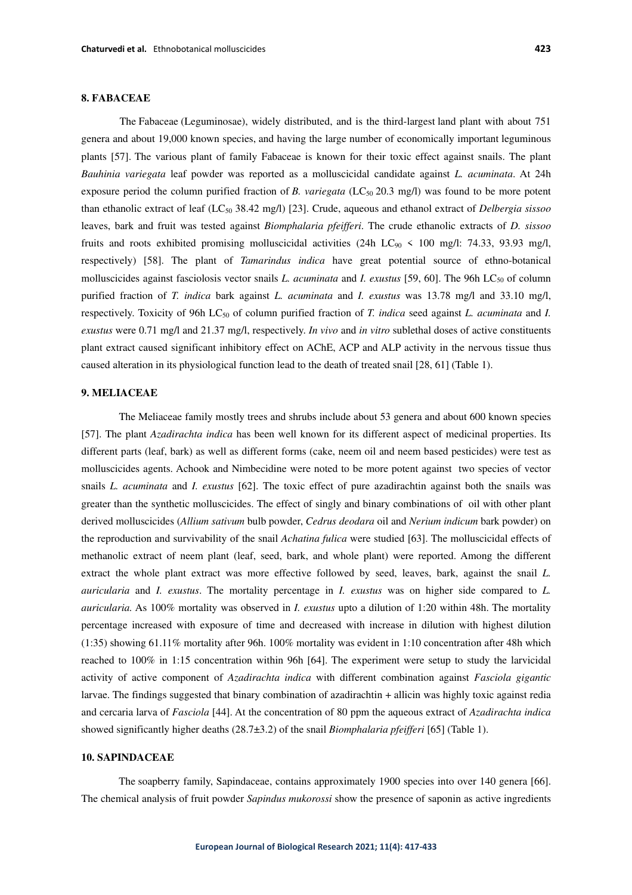# **8. FABACEAE**

The Fabaceae (Leguminosae), widely distributed, and is the third-largest land plant with about 751 genera and about 19,000 known species, and having the large number of economically important leguminous plants [57]. The various plant of family Fabaceae is known for their toxic effect against snails. The plant *Bauhinia variegata* leaf powder was reported as a molluscicidal candidate against *L. acuminata*. At 24h exposure period the column purified fraction of *B. variegata* (LC<sub>50</sub> 20.3 mg/l) was found to be more potent than ethanolic extract of leaf (LC50 38.42 mg/l) [23]. Crude, aqueous and ethanol extract of *Delbergia sissoo* leaves, bark and fruit was tested against *Biomphalaria pfeifferi*. The crude ethanolic extracts of *D. sissoo* fruits and roots exhibited promising molluscicidal activities (24h LC $_{90}$  < 100 mg/l: 74.33, 93.93 mg/l, respectively) [58]. The plant of *Tamarindus indica* have great potential source of ethno-botanical molluscicides against fasciolosis vector snails *L. acuminata* and *I. exustus* [59, 60]. The 96h LC<sub>50</sub> of column purified fraction of *T. indica* bark against *L. acuminata* and *I. exustus* was 13.78 mg/l and 33.10 mg/l, respectively. Toxicity of 96h LC<sub>50</sub> of column purified fraction of *T. indica* seed against *L. acuminata* and *I. exustus* were 0.71 mg/l and 21.37 mg/l, respectively. *In vivo* and *in vitro* sublethal doses of active constituents plant extract caused significant inhibitory effect on AChE, ACP and ALP activity in the nervous tissue thus caused alteration in its physiological function lead to the death of treated snail [28, 61] (Table 1).

## **9. MELIACEAE**

 The Meliaceae family mostly trees and shrubs include about 53 genera and about 600 known species [57]. The plant *Azadirachta indica* has been well known for its different aspect of medicinal properties. Its different parts (leaf, bark) as well as different forms (cake, neem oil and neem based pesticides) were test as molluscicides agents. Achook and Nimbecidine were noted to be more potent against two species of vector snails *L. acuminata* and *I. exustus* [62]. The toxic effect of pure azadirachtin against both the snails was greater than the synthetic molluscicides. The effect of singly and binary combinations of oil with other plant derived molluscicides (*Allium sativum* bulb powder, *Cedrus deodara* oil and *Nerium indicum* bark powder) on the reproduction and survivability of the snail *Achatina fulica* were studied [63]. The molluscicidal effects of methanolic extract of neem plant (leaf, seed, bark, and whole plant) were reported. Among the different extract the whole plant extract was more effective followed by seed, leaves, bark, against the snail *L. auricularia* and *I. exustus*. The mortality percentage in *I. exustus* was on higher side compared to *L. auricularia.* As 100% mortality was observed in *I. exustus* upto a dilution of 1:20 within 48h. The mortality percentage increased with exposure of time and decreased with increase in dilution with highest dilution (1:35) showing 61.11% mortality after 96h. 100% mortality was evident in 1:10 concentration after 48h which reached to 100% in 1:15 concentration within 96h [64]. The experiment were setup to study the larvicidal activity of active component of *Azadirachta indica* with different combination against *Fasciola gigantic* larvae. The findings suggested that binary combination of azadirachtin + allicin was highly toxic against redia and cercaria larva of *Fasciola* [44]. At the concentration of 80 ppm the aqueous extract of *Azadirachta indica* showed significantly higher deaths (28.7±3.2) of the snail *Biomphalaria pfeifferi* [65] (Table 1).

## **10. SAPINDACEAE**

The soapberry family, Sapindaceae, contains approximately 1900 species into over 140 genera [66]. The chemical analysis of fruit powder *Sapindus mukorossi* show the presence of saponin as active ingredients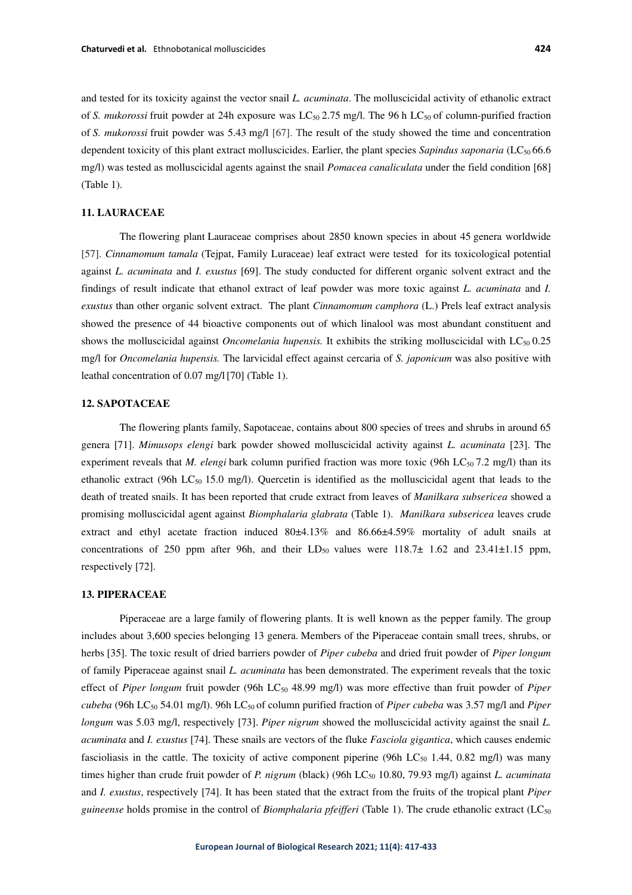and tested for its toxicity against the vector snail *L. acuminata*. The molluscicidal activity of ethanolic extract of *S. mukorossi* fruit powder at 24h exposure was LC<sub>50</sub> 2.75 mg/l. The 96 h LC<sub>50</sub> of column-purified fraction of *S. mukorossi* fruit powder was 5.43 mg/l [67]. The result of the study showed the time and concentration dependent toxicity of this plant extract molluscicides. Earlier, the plant species *Sapindus saponaria* (LC<sub>50</sub> 66.6) mg/l) was tested as molluscicidal agents against the snail *Pomacea canaliculata* under the field condition [68] (Table 1).

## **11. LAURACEAE**

The flowering plant Lauraceae comprises about 2850 known species in about 45 genera worldwide [57]. *Cinnamomum tamala* (Tejpat, Family Luraceae) leaf extract were tested for its toxicological potential against *L. acuminata* and *I. exustus* [69]. The study conducted for different organic solvent extract and the findings of result indicate that ethanol extract of leaf powder was more toxic against *L. acuminata* and *I. exustus* than other organic solvent extract. The plant *Cinnamomum camphora* (L.) Prels leaf extract analysis showed the presence of 44 bioactive components out of which linalool was most abundant constituent and shows the molluscicidal against *Oncomelania hupensis*. It exhibits the striking molluscicidal with LC<sub>50</sub> 0.25 mg/l for *Oncomelania hupensis.* The larvicidal effect against cercaria of *S. japonicum* was also positive with leathal concentration of 0.07 mg/l[70] (Table 1).

# **12. SAPOTACEAE**

The flowering plants family, Sapotaceae, contains about 800 species of trees and shrubs in around 65 genera [71]. *Mimusops elengi* bark powder showed molluscicidal activity against *L. acuminata* [23]. The experiment reveals that *M. elengi* bark column purified fraction was more toxic (96h LC<sub>50</sub> 7.2 mg/l) than its ethanolic extract (96h LC<sub>50</sub> 15.0 mg/l). Quercetin is identified as the molluscicidal agent that leads to the death of treated snails. It has been reported that crude extract from leaves of *Manilkara subsericea* showed a promising molluscicidal agent against *Biomphalaria glabrata* (Table 1). *Manilkara subsericea* leaves crude extract and ethyl acetate fraction induced 80±4.13% and 86.66±4.59% mortality of adult snails at concentrations of 250 ppm after 96h, and their  $LD_{50}$  values were 118.7 $\pm$  1.62 and 23.41 $\pm$ 1.15 ppm, respectively [72].

#### **13. PIPERACEAE**

Piperaceae are a large family of flowering plants. It is well known as the pepper family. The group includes about 3,600 species belonging 13 genera. Members of the Piperaceae contain small trees, shrubs, or herbs [35]. The toxic result of dried barriers powder of *Piper cubeba* and dried fruit powder of *Piper longum* of family Piperaceae against snail *L. acuminata* has been demonstrated. The experiment reveals that the toxic effect of *Piper longum* fruit powder (96h LC<sub>50</sub> 48.99 mg/l) was more effective than fruit powder of *Piper cubeba* (96h LC50 54.01 mg/l). 96h LC50 of column purified fraction of *Piper cubeba* was 3.57 mg/l and *Piper longum* was 5.03 mg/l, respectively [73]. *Piper nigrum* showed the molluscicidal activity against the snail *L. acuminata* and *I. exustus* [74]. These snails are vectors of the fluke *Fasciola gigantica*, which causes endemic fascioliasis in the cattle. The toxicity of active component piperine (96h  $LC_{50}$  1.44, 0.82 mg/l) was many times higher than crude fruit powder of *P. nigrum* (black) (96h LC<sub>50</sub> 10.80, 79.93 mg/l) against *L. acuminata* and *I. exustus*, respectively [74]. It has been stated that the extract from the fruits of the tropical plant *Piper guineense* holds promise in the control of *Biomphalaria pfeifferi* (Table 1). The crude ethanolic extract (LC<sub>50</sub>)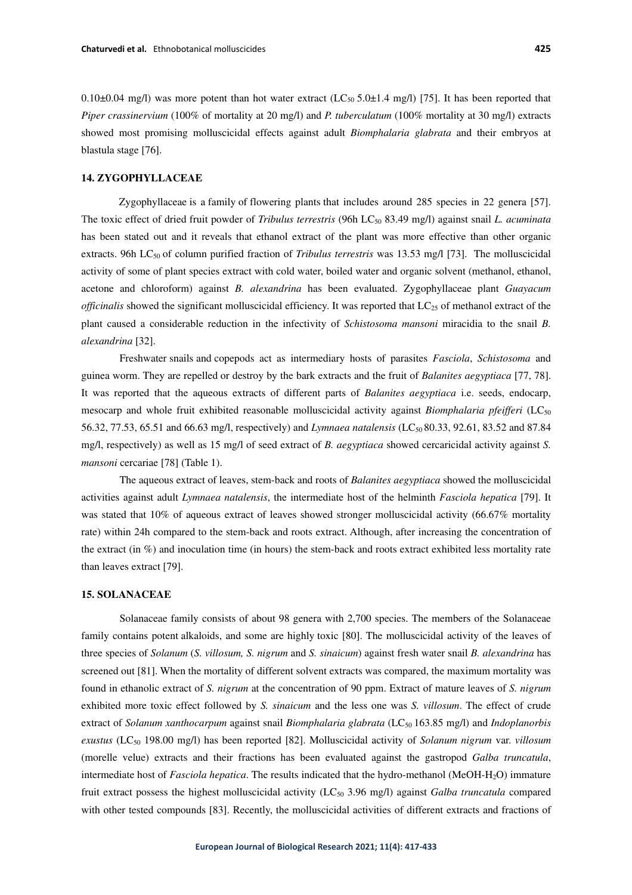0.10 $\pm$ 0.04 mg/l) was more potent than hot water extract (LC<sub>50</sub> 5.0 $\pm$ 1.4 mg/l) [75]. It has been reported that *Piper crassinervium* (100% of mortality at 20 mg/l) and *P. tuberculatum* (100% mortality at 30 mg/l) extracts showed most promising molluscicidal effects against adult *Biomphalaria glabrata* and their embryos at blastula stage [76].

## **14. ZYGOPHYLLACEAE**

 Zygophyllaceae is a family of flowering plants that includes around 285 species in 22 genera [57]. The toxic effect of dried fruit powder of *Tribulus terrestris* (96h LC50 83.49 mg/l) against snail *L. acuminata* has been stated out and it reveals that ethanol extract of the plant was more effective than other organic extracts. 96h LC<sub>50</sub> of column purified fraction of *Tribulus terrestris* was 13.53 mg/l [73]. The molluscicidal activity of some of plant species extract with cold water, boiled water and organic solvent (methanol, ethanol, acetone and chloroform) against *B. alexandrina* has been evaluated. Zygophyllaceae plant *Guayacum officinalis* showed the significant molluscicidal efficiency. It was reported that LC<sub>25</sub> of methanol extract of the plant caused a considerable reduction in the infectivity of *Schistosoma mansoni* miracidia to the snail *B. alexandrina* [32].

Freshwater snails and copepods act as intermediary hosts of parasites *Fasciola*, *Schistosoma* and guinea worm. They are repelled or destroy by the bark extracts and the fruit of *Balanites aegyptiaca* [77, 78]. It was reported that the aqueous extracts of different parts of *Balanites aegyptiaca* i.e. seeds, endocarp, mesocarp and whole fruit exhibited reasonable molluscicidal activity against *Biomphalaria pfeifferi* (LC<sup>50</sup> 56.32, 77.53, 65.51 and 66.63 mg/l, respectively) and *Lymnaea natalensis* (LC<sub>50</sub> 80.33, 92.61, 83.52 and 87.84 mg/l, respectively) as well as 15 mg/l of seed extract of *B. aegyptiaca* showed cercaricidal activity against *S. mansoni* cercariae [78] (Table 1).

The aqueous extract of leaves, stem-back and roots of *Balanites aegyptiaca* showed the molluscicidal activities against adult *Lymnaea natalensis*, the intermediate host of the helminth *Fasciola hepatica* [79]. It was stated that 10% of aqueous extract of leaves showed stronger molluscicidal activity (66.67% mortality rate) within 24h compared to the stem-back and roots extract. Although, after increasing the concentration of the extract (in %) and inoculation time (in hours) the stem-back and roots extract exhibited less mortality rate than leaves extract [79].

#### **15. SOLANACEAE**

Solanaceae family consists of about 98 genera with 2,700 species. The members of the Solanaceae family contains potent alkaloids, and some are highly toxic [80]. The molluscicidal activity of the leaves of three species of *Solanum* (*S. villosum, S. nigrum* and *S. sinaicum*) against fresh water snail *B. alexandrina* has screened out [81]. When the mortality of different solvent extracts was compared, the maximum mortality was found in ethanolic extract of *S. nigrum* at the concentration of 90 ppm. Extract of mature leaves of *S. nigrum* exhibited more toxic effect followed by *S. sinaicum* and the less one was *S. villosum*. The effect of crude extract of *Solanum xanthocarpum* against snail *Biomphalaria glabrata* (LC<sub>50</sub> 163.85 mg/l) and *Indoplanorbis exustus* (LC50 198.00 mg/l) has been reported [82]. Molluscicidal activity of *Solanum nigrum* var. *villosum* (morelle velue) extracts and their fractions has been evaluated against the gastropod *Galba truncatula*, intermediate host of *Fasciola hepatica*. The results indicated that the hydro-methanol (MeOH-H2O) immature fruit extract possess the highest molluscicidal activity (LC<sub>50</sub> 3.96 mg/l) against *Galba truncatula* compared with other tested compounds [83]. Recently, the molluscicidal activities of different extracts and fractions of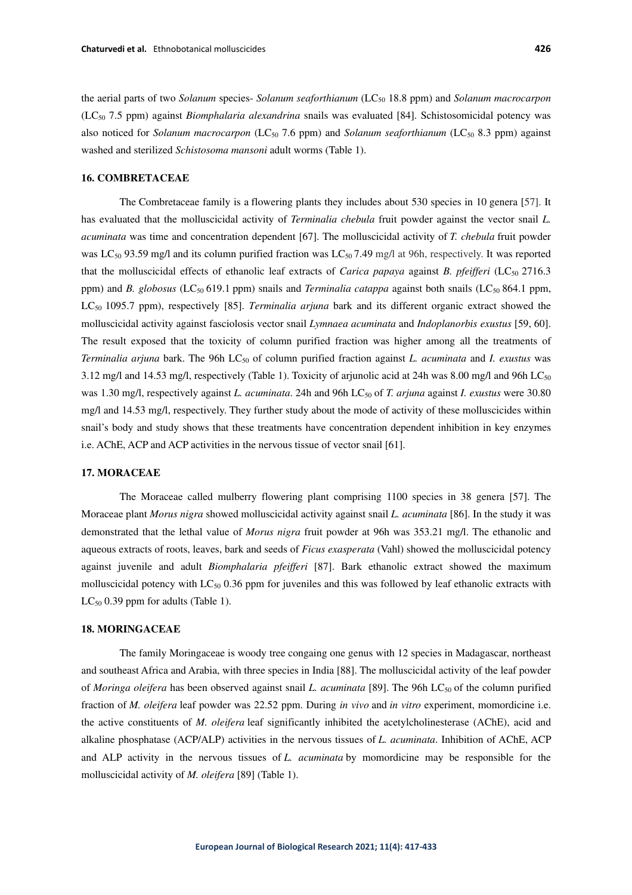the aerial parts of two *Solanum* species- *Solanum seaforthianum* (LC50 18.8 ppm) and *Solanum macrocarpon* (LC50 7.5 ppm) against *Biomphalaria alexandrina* snails was evaluated [84]. Schistosomicidal potency was also noticed for *Solanum macrocarpon* (LC<sub>50</sub> 7.6 ppm) and *Solanum seaforthianum* (LC<sub>50</sub> 8.3 ppm) against washed and sterilized *Schistosoma mansoni* adult worms (Table 1).

## **16. COMBRETACEAE**

The Combretaceae family is a flowering plants they includes about 530 species in 10 genera [57]. It has evaluated that the molluscicidal activity of *Terminalia chebula* fruit powder against the vector snail *L. acuminata* was time and concentration dependent [67]. The molluscicidal activity of *T. chebula* fruit powder was LC<sub>50</sub> 93.59 mg/l and its column purified fraction was LC<sub>50</sub> 7.49 mg/l at 96h, respectively. It was reported that the molluscicidal effects of ethanolic leaf extracts of *Carica papaya* against *B. pfeifferi* (LC<sub>50</sub> 2716.3) ppm) and *B. globosus* (LC<sub>50</sub> 619.1 ppm) snails and *Terminalia catappa* against both snails (LC<sub>50</sub> 864.1 ppm, LC<sub>50</sub> 1095.7 ppm), respectively [85]. *Terminalia arjuna* bark and its different organic extract showed the molluscicidal activity against fasciolosis vector snail *Lymnaea acuminata* and *Indoplanorbis exustus* [59, 60]. The result exposed that the toxicity of column purified fraction was higher among all the treatments of *Terminalia arjuna* bark. The 96h LC<sub>50</sub> of column purified fraction against *L. acuminata* and *I. exustus* was 3.12 mg/l and 14.53 mg/l, respectively (Table 1). Toxicity of arjunolic acid at 24h was 8.00 mg/l and 96h  $LC_{50}$ was 1.30 mg/l, respectively against *L. acuminata*. 24h and 96h LC<sub>50</sub> of *T. arjuna* against *I. exustus* were 30.80 mg/l and 14.53 mg/l, respectively. They further study about the mode of activity of these molluscicides within snail's body and study shows that these treatments have concentration dependent inhibition in key enzymes i.e. AChE, ACP and ACP activities in the nervous tissue of vector snail [61].

# **17. MORACEAE**

The Moraceae called mulberry flowering plant comprising 1100 species in 38 genera [57]. The Moraceae plant *Morus nigra* showed molluscicidal activity against snail *L. acuminata* [86]. In the study it was demonstrated that the lethal value of *Morus nigra* fruit powder at 96h was 353.21 mg/l. The ethanolic and aqueous extracts of roots, leaves, bark and seeds of *Ficus exasperata* (Vahl) showed the molluscicidal potency against juvenile and adult *Biomphalaria pfeifferi* [87]. Bark ethanolic extract showed the maximum molluscicidal potency with  $LC_{50}$  0.36 ppm for juveniles and this was followed by leaf ethanolic extracts with  $LC_{50}$  0.39 ppm for adults (Table 1).

#### **18. MORINGACEAE**

The family Moringaceae is woody tree congaing one genus with 12 species in Madagascar, northeast and southeast Africa and Arabia, with three species in India [88]. The molluscicidal activity of the leaf powder of *Moringa oleifera* has been observed against snail *L. acuminata* [89]. The 96h LC<sub>50</sub> of the column purified fraction of *M. oleifera* leaf powder was 22.52 ppm. During *in vivo* and *in vitro* experiment, momordicine i.e. the active constituents of *M. oleifera* leaf significantly inhibited the acetylcholinesterase (AChE), acid and alkaline phosphatase (ACP/ALP) activities in the nervous tissues of *L. acuminata*. Inhibition of AChE, ACP and ALP activity in the nervous tissues of *L. acuminata* by momordicine may be responsible for the molluscicidal activity of *M. oleifera* [89] (Table 1).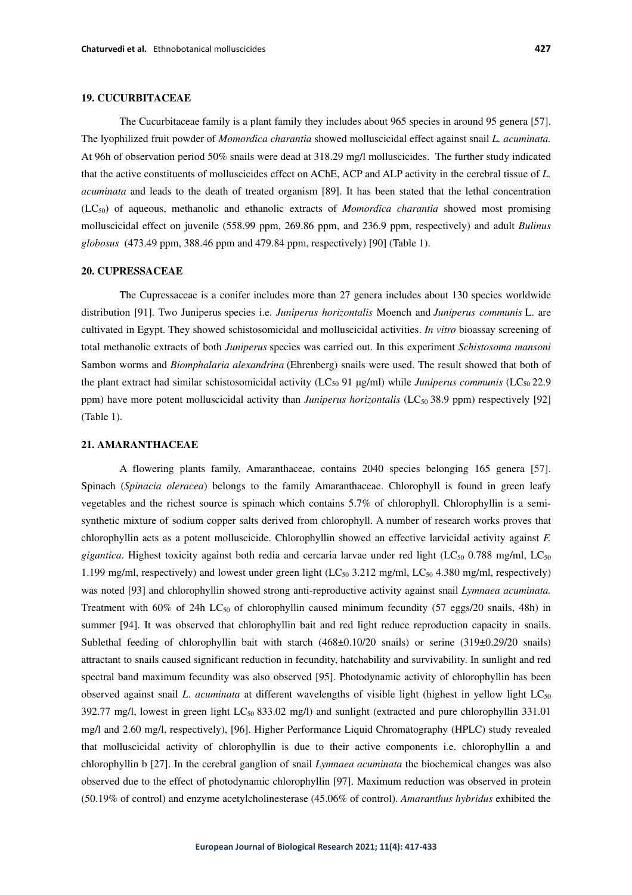# **19. CUCURBITACEAE**

The Cucurbitaceae family is a plant family they includes about 965 species in around 95 genera [57]. The lyophilized fruit powder of *Momordica charantia* showed molluscicidal effect against snail *L. acuminata.*  At 96h of observation period 50% snails were dead at 318.29 mg/l molluscicides. The further study indicated that the active constituents of molluscicides effect on AChE, ACP and ALP activity in the cerebral tissue of *L. acuminata* and leads to the death of treated organism [89]. It has been stated that the lethal concentration (LC50) of aqueous, methanolic and ethanolic extracts of *Momordica charantia* showed most promising molluscicidal effect on juvenile (558.99 ppm, 269.86 ppm, and 236.9 ppm, respectively) and adult *Bulinus globosus* (473.49 ppm, 388.46 ppm and 479.84 ppm, respectively) [90] (Table 1).

#### **20. CUPRESSACEAE**

The Cupressaceae is a conifer includes more than 27 genera includes about 130 species worldwide distribution [91]. Two Juniperus species i.e. *Juniperus horizontalis* Moench and *Juniperus communis* L. are cultivated in Egypt. They showed schistosomicidal and molluscicidal activities. *In vitro* bioassay screening of total methanolic extracts of both *Juniperus* species was carried out. In this experiment *Schistosoma mansoni*  Sambon worms and *Biomphalaria alexandrina* (Ehrenberg) snails were used. The result showed that both of the plant extract had similar schistosomicidal activity (LC<sub>50</sub> 91 μg/ml) while *Juniperus communis* (LC<sub>50</sub> 22.9 ppm) have more potent molluscicidal activity than *Juniperus horizontalis* (LC50 38.9 ppm) respectively [92] (Table 1).

#### **21. AMARANTHACEAE**

A flowering plants family, Amaranthaceae, contains 2040 species belonging 165 genera [57]. Spinach (*Spinacia oleracea*) belongs to the family Amaranthaceae. Chlorophyll is found in green leafy vegetables and the richest source is spinach which contains 5.7% of chlorophyll. Chlorophyllin is a semisynthetic mixture of sodium copper salts derived from chlorophyll. A number of research works proves that chlorophyllin acts as a potent molluscicide. Chlorophyllin showed an effective larvicidal activity against *F. gigantica*. Highest toxicity against both redia and cercaria larvae under red light (LC<sub>50</sub> 0.788 mg/ml, LC<sub>50</sub> 1.199 mg/ml, respectively) and lowest under green light  $(LC_{50}$  3.212 mg/ml,  $LC_{50}$  4.380 mg/ml, respectively) was noted [93] and chlorophyllin showed strong anti-reproductive activity against snail *Lymnaea acuminata.*  Treatment with  $60\%$  of  $24h$  LC<sub>50</sub> of chlorophyllin caused minimum fecundity (57 eggs/20 snails, 48h) in summer [94]. It was observed that chlorophyllin bait and red light reduce reproduction capacity in snails. Sublethal feeding of chlorophyllin bait with starch (468±0.10/20 snails) or serine (319±0.29/20 snails) attractant to snails caused significant reduction in fecundity, hatchability and survivability. In sunlight and red spectral band maximum fecundity was also observed [95]. Photodynamic activity of chlorophyllin has been observed against snail *L*. *acuminata* at different wavelengths of visible light (highest in yellow light LC<sup>50</sup> 392.77 mg/l, lowest in green light  $LC_{50}$  833.02 mg/l) and sunlight (extracted and pure chlorophyllin 331.01 mg/l and 2.60 mg/l, respectively), [96]. Higher Performance Liquid Chromatography (HPLC) study revealed that molluscicidal activity of chlorophyllin is due to their active components i.e. chlorophyllin a and chlorophyllin b [27]. In the cerebral ganglion of snail *Lymnaea acuminata* the biochemical changes was also observed due to the effect of photodynamic chlorophyllin [97]. Maximum reduction was observed in protein (50.19% of control) and enzyme acetylcholinesterase (45.06% of control). *Amaranthus hybridus* exhibited the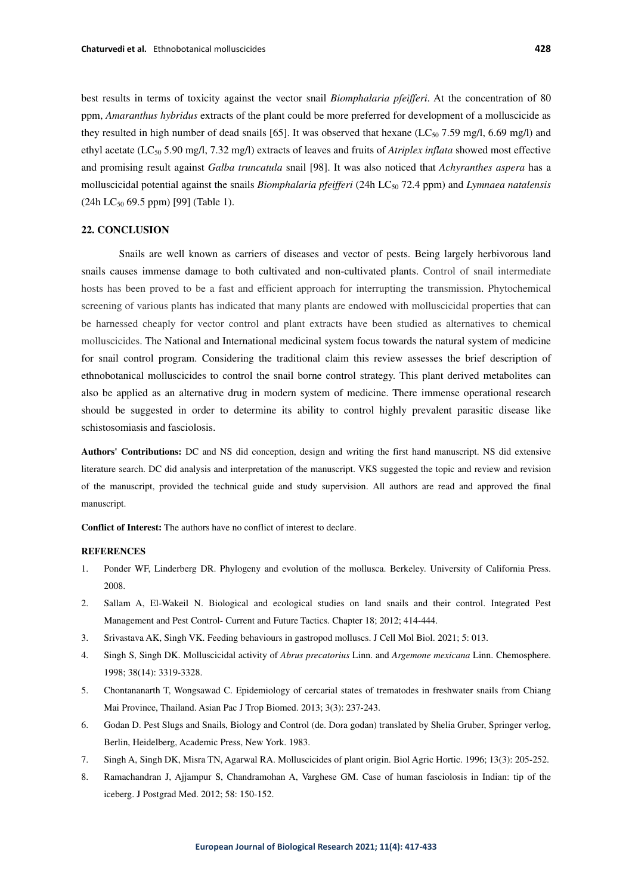best results in terms of toxicity against the vector snail *Biomphalaria pfeifferi*. At the concentration of 80 ppm, *Amaranthus hybridus* extracts of the plant could be more preferred for development of a molluscicide as they resulted in high number of dead snails [65]. It was observed that hexane ( $LC_{50}$  7.59 mg/l, 6.69 mg/l) and ethyl acetate (LC50 5.90 mg/l, 7.32 mg/l) extracts of leaves and fruits of *Atriplex inflata* showed most effective and promising result against *Galba truncatula* snail [98]. It was also noticed that *Achyranthes aspera* has a molluscicidal potential against the snails *Biomphalaria pfeifferi* (24h LC50 72.4 ppm) and *Lymnaea natalensis* (24h LC<sub>50</sub> 69.5 ppm) [99] (Table 1).

## **22. CONCLUSION**

Snails are well known as carriers of diseases and vector of pests. Being largely herbivorous land snails causes immense damage to both cultivated and non-cultivated plants. Control of snail intermediate hosts has been proved to be a fast and efficient approach for interrupting the transmission. Phytochemical screening of various plants has indicated that many plants are endowed with molluscicidal properties that can be harnessed cheaply for vector control and plant extracts have been studied as alternatives to chemical molluscicides. The National and International medicinal system focus towards the natural system of medicine for snail control program. Considering the traditional claim this review assesses the brief description of ethnobotanical molluscicides to control the snail borne control strategy. This plant derived metabolites can also be applied as an alternative drug in modern system of medicine. There immense operational research should be suggested in order to determine its ability to control highly prevalent parasitic disease like schistosomiasis and fasciolosis.

**Authors' Contributions:** DC and NS did conception, design and writing the first hand manuscript. NS did extensive literature search. DC did analysis and interpretation of the manuscript. VKS suggested the topic and review and revision of the manuscript, provided the technical guide and study supervision. All authors are read and approved the final manuscript.

**Conflict of Interest:** The authors have no conflict of interest to declare.

#### **REFERENCES**

- 1. Ponder WF, Linderberg DR. Phylogeny and evolution of the mollusca. Berkeley. University of California Press. 2008.
- 2. Sallam A, El-Wakeil N. Biological and ecological studies on land snails and their control. Integrated Pest Management and Pest Control- Current and Future Tactics. Chapter 18; 2012; 414-444.
- 3. Srivastava AK, Singh VK. Feeding behaviours in gastropod molluscs. J Cell Mol Biol. 2021; 5: 013.
- 4. Singh S, Singh DK. Molluscicidal activity of *Abrus precatorius* Linn. and *Argemone mexicana* Linn. Chemosphere. 1998; 38(14): 3319-3328.
- 5. Chontananarth T, Wongsawad C. Epidemiology of cercarial states of trematodes in freshwater snails from Chiang Mai Province, Thailand. Asian Pac J Trop Biomed. 2013; 3(3): 237-243.
- 6. Godan D. Pest Slugs and Snails, Biology and Control (de. Dora godan) translated by Shelia Gruber, Springer verlog, Berlin, Heidelberg, Academic Press, New York. 1983.
- 7. Singh A, Singh DK, Misra TN, Agarwal RA. Molluscicides of plant origin. Biol Agric Hortic. 1996; 13(3): 205-252.
- 8. Ramachandran J, Ajjampur S, Chandramohan A, Varghese GM. Case of human fasciolosis in Indian: tip of the iceberg. J Postgrad Med. 2012; 58: 150-152.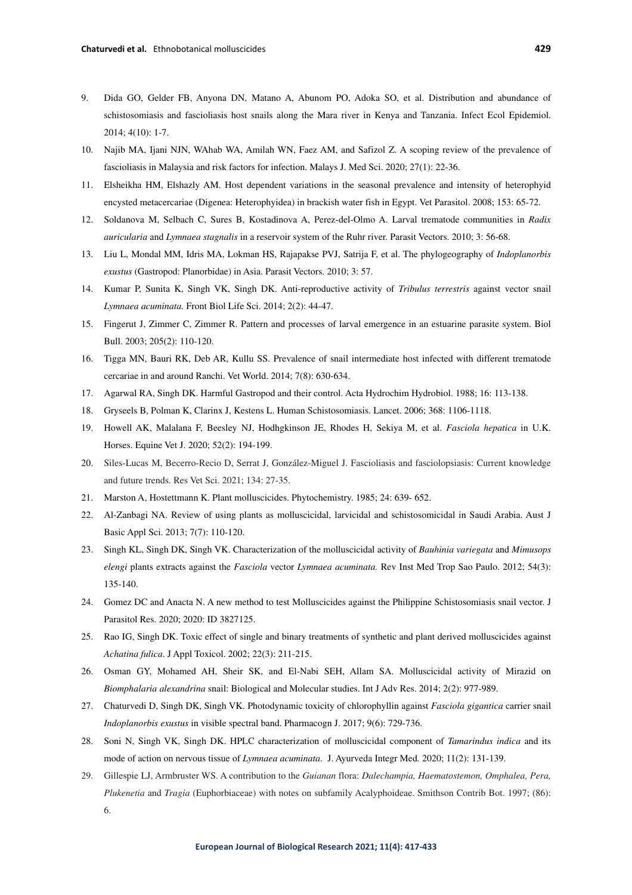- 9. Dida GO, Gelder FB, Anyona DN, Matano A, Abunom PO, Adoka SO, et al. Distribution and abundance of schistosomiasis and fascioliasis host snails along the Mara river in Kenya and Tanzania. Infect Ecol Epidemiol. 2014; 4(10): 1-7.
- 10. Najib MA, Ijani NJN, WAhab WA, Amilah WN, Faez AM, and Safizol Z. A scoping review of the prevalence of fascioliasis in Malaysia and risk factors for infection. Malays J. Med Sci. 2020; 27(1): 22-36.
- 11. Elsheikha HM, Elshazly AM. Host dependent variations in the seasonal prevalence and intensity of heterophyid encysted metacercariae (Digenea: Heterophyidea) in brackish water fish in Egypt. Vet Parasitol. 2008; 153: 65-72.
- 12. Soldanova M, Selbach C, Sures B, Kostadinova A, Perez-del-Olmo A. Larval trematode communities in *Radix auricularia* and *Lymnaea stagnalis* in a reservoir system of the Ruhr river. Parasit Vectors. 2010; 3: 56-68.
- 13. Liu L, Mondal MM, Idris MA, Lokman HS, Rajapakse PVJ, Satrija F, et al. The phylogeography of *Indoplanorbis exustus* (Gastropod: Planorbidae) in Asia. Parasit Vectors. 2010; 3: 57.
- 14. Kumar P, Sunita K, Singh VK, Singh DK. Anti-reproductive activity of *Tribulus terrestris* against vector snail *Lymnaea acuminata.* Front Biol Life Sci. 2014; 2(2): 44-47.
- 15. Fingerut J, Zimmer C, Zimmer R. Pattern and processes of larval emergence in an estuarine parasite system. Biol Bull. 2003; 205(2): 110-120.
- 16. Tigga MN, Bauri RK, Deb AR, Kullu SS. Prevalence of snail intermediate host infected with different trematode cercariae in and around Ranchi. Vet World. 2014; 7(8): 630-634.
- 17. Agarwal RA, Singh DK. Harmful Gastropod and their control. Acta Hydrochim Hydrobiol. 1988; 16: 113-138.
- 18. Gryseels B, Polman K, Clarinx J, Kestens L. Human Schistosomiasis. Lancet. 2006; 368: 1106-1118.
- 19. Howell AK, Malalana F, Beesley NJ, Hodhgkinson JE, Rhodes H, Sekiya M, et al. *Fasciola hepatica* in U.K. Horses. Equine Vet J. 2020; 52(2): 194-199.
- 20. Siles-Lucas M, Becerro-Recio D, Serrat J, González-Miguel J. Fascioliasis and fasciolopsiasis: Current knowledge and future trends. Res Vet Sci. 2021; 134: 27-35.
- 21. Marston A, Hostettmann K. Plant molluscicides. Phytochemistry. 1985; 24: 639- 652.
- 22. Al-Zanbagi NA. Review of using plants as molluscicidal, larvicidal and schistosomicidal in Saudi Arabia. Aust J Basic Appl Sci. 2013; 7(7): 110-120.
- 23. Singh KL, Singh DK, Singh VK. Characterization of the molluscicidal activity of *Bauhinia variegata* and *Mimusops elengi* plants extracts against the *Fasciola* vector *Lymnaea acuminata.* Rev Inst Med Trop Sao Paulo. 2012; 54(3): 135-140.
- 24. Gomez DC and Anacta N. A new method to test Molluscicides against the Philippine Schistosomiasis snail vector. J Parasitol Res. 2020; 2020: ID 3827125.
- 25. Rao IG, Singh DK. Toxic effect of single and binary treatments of synthetic and plant derived molluscicides against *Achatina fulica*. J Appl Toxicol. 2002; 22(3): 211-215.
- 26. Osman GY, Mohamed AH, Sheir SK, and El-Nabi SEH, Allam SA. Molluscicidal activity of Mirazid on *Biomphalaria alexandrina* snail: Biological and Molecular studies. Int J Adv Res. 2014; 2(2): 977-989.
- 27. Chaturvedi D, Singh DK, Singh VK. Photodynamic toxicity of chlorophyllin against *Fasciola gigantica* carrier snail *Indoplanorbis exustus* in visible spectral band. Pharmacogn J. 2017; 9(6): 729-736.
- 28. Soni N, Singh VK, Singh DK. HPLC characterization of molluscicidal component of *Tamarindus indica* and its mode of action on nervous tissue of *Lymnaea acuminata*. J. Ayurveda Integr Med*.* 2020; 11(2): 131-139.
- 29. Gillespie LJ, Armbruster WS. A contribution to the *Guianan* flora: *Dalechampia, Haematostemon, Omphalea, Pera, Plukenetia* and *Tragia* (Euphorbiaceae) with notes on subfamily Acalyphoideae. Smithson Contrib Bot. 1997; (86): 6.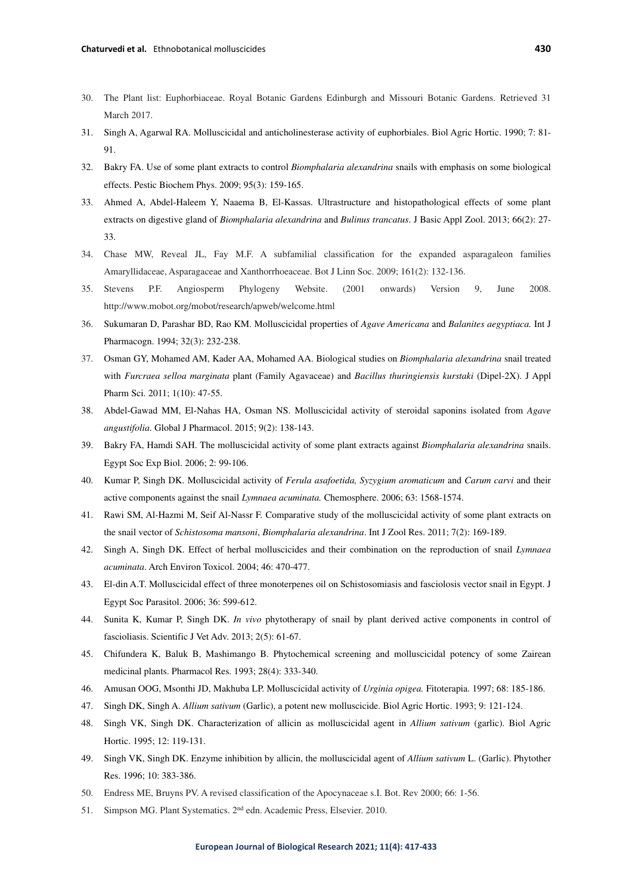- 30. The Plant list: Euphorbiaceae. Royal Botanic Gardens Edinburgh and Missouri Botanic Gardens. Retrieved 31 March 2017.
- 31. Singh A, Agarwal RA. Molluscicidal and anticholinesterase activity of euphorbiales. Biol Agric Hortic. 1990; 7: 81- 91.
- 32. Bakry FA. Use of some plant extracts to control *Biomphalaria alexandrina* snails with emphasis on some biological effects. Pestic Biochem Phys. 2009; 95(3): 159-165.
- 33. Ahmed A, Abdel-Haleem Y, Naaema B, El-Kassas. Ultrastructure and histopathological effects of some plant extracts on digestive gland of *Biomphalaria alexandrina* and *Bulinus trancatus*. J Basic Appl Zool. 2013; 66(2): 27- 33.
- 34. Chase MW, Reveal JL, Fay M.F. A subfamilial classification for the expanded asparagaleon families Amaryllidaceae, Asparagaceae and Xanthorrhoeaceae. Bot J Linn Soc. 2009; 161(2): 132-136.
- 35. Stevens P.F. Angiosperm Phylogeny Website. (2001 onwards) Version 9, June 2008. http://www.mobot.org/mobot/research/apweb/welcome.html
- 36. Sukumaran D, Parashar BD, Rao KM. Molluscicidal properties of *Agave Americana* and *Balanites aegyptiaca.* Int J Pharmacogn. 1994; 32(3): 232-238.
- 37. Osman GY, Mohamed AM, Kader AA, Mohamed AA. Biological studies on *Biomphalaria alexandrina* snail treated with *Furcraea selloa marginata* plant (Family Agavaceae) and *Bacillus thuringiensis kurstaki* (Dipel-2X). J Appl Pharm Sci. 2011; 1(10): 47-55.
- 38. Abdel-Gawad MM, El-Nahas HA, Osman NS. Molluscicidal activity of steroidal saponins isolated from *Agave angustifolia*. Global J Pharmacol. 2015; 9(2): 138-143.
- 39. Bakry FA, Hamdi SAH. The molluscicidal activity of some plant extracts against *Biomphalaria alexandrina* snails. Egypt Soc Exp Biol. 2006; 2: 99-106.
- 40. Kumar P, Singh DK. Molluscicidal activity of *Ferula asafoetida, Syzygium aromaticum* and *Carum carvi* and their active components against the snail *Lymnaea acuminata.* Chemosphere. 2006; 63: 1568-1574.
- 41. Rawi SM, Al-Hazmi M, Seif Al-Nassr F. Comparative study of the molluscicidal activity of some plant extracts on the snail vector of *Schistosoma mansoni*, *Biomphalaria alexandrina*. Int J Zool Res. 2011; 7(2): 169-189.
- 42. Singh A, Singh DK. Effect of herbal molluscicides and their combination on the reproduction of snail *Lymnaea acuminata*. Arch Environ Toxicol. 2004; 46: 470-477.
- 43. El-din A.T. Molluscicidal effect of three monoterpenes oil on Schistosomiasis and fasciolosis vector snail in Egypt. J Egypt Soc Parasitol. 2006; 36: 599-612.
- 44. Sunita K, Kumar P, Singh DK. *In vivo* phytotherapy of snail by plant derived active components in control of fascioliasis. Scientific J Vet Adv. 2013; 2(5): 61-67.
- 45. Chifundera K, Baluk B, Mashimango B. Phytochemical screening and molluscicidal potency of some Zairean medicinal plants. Pharmacol Res. 1993; 28(4): 333-340.
- 46. Amusan OOG, Msonthi JD, Makhuba LP. Molluscicidal activity of *Urginia opigea.* Fitoterapia. 1997; 68: 185-186.
- 47. Singh DK, Singh A. *Allium sativum* (Garlic), a potent new molluscicide. Biol Agric Hortic. 1993; 9: 121-124.
- 48. Singh VK, Singh DK. Characterization of allicin as molluscicidal agent in *Allium sativum* (garlic). Biol Agric Hortic. 1995; 12: 119-131.
- 49. Singh VK, Singh DK. Enzyme inhibition by allicin, the molluscicidal agent of *Allium sativum* L. (Garlic). Phytother Res. 1996; 10: 383-386.
- 50. Endress ME, Bruyns PV. A revised classification of the Apocynaceae s.I. Bot. Rev 2000; 66: 1-56.
- 51. Simpson MG. Plant Systematics. 2nd edn. Academic Press, Elsevier. 2010.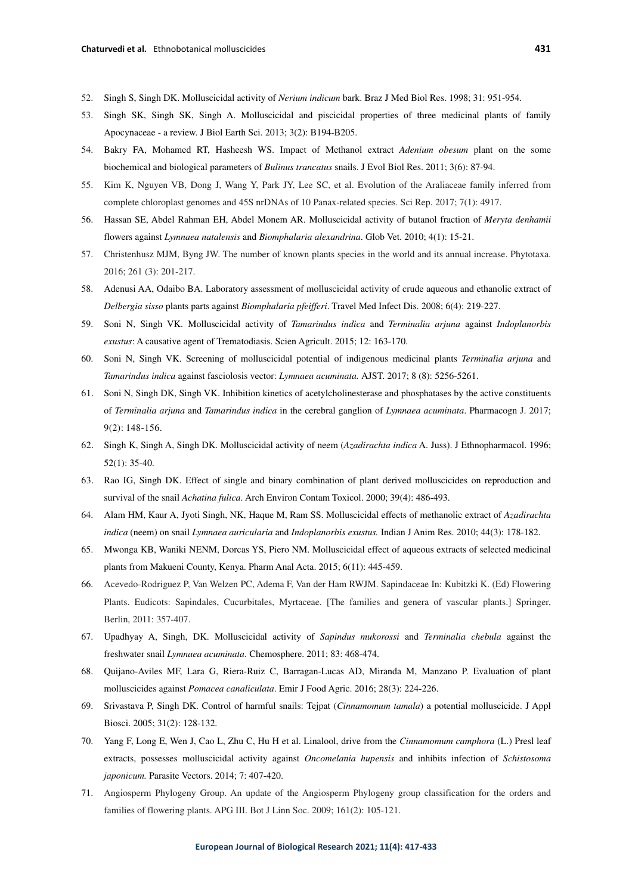- 52. Singh S, Singh DK. Molluscicidal activity of *Nerium indicum* bark. Braz J Med Biol Res. 1998; 31: 951-954.
- 53. Singh SK, Singh SK, Singh A. Molluscicidal and piscicidal properties of three medicinal plants of family Apocynaceae - a review. J Biol Earth Sci. 2013; 3(2): B194-B205.
- 54. Bakry FA, Mohamed RT, Hasheesh WS. Impact of Methanol extract *Adenium obesum* plant on the some biochemical and biological parameters of *Bulinus trancatus* snails. J Evol Biol Res. 2011; 3(6): 87-94.
- 55. Kim K, Nguyen VB, Dong J, Wang Y, Park JY, Lee SC, et al. Evolution of the Araliaceae family inferred from complete chloroplast genomes and 45S nrDNAs of 10 Panax-related species. Sci Rep. 2017; 7(1): 4917.
- 56. Hassan SE, Abdel Rahman EH, Abdel Monem AR. Molluscicidal activity of butanol fraction of *Meryta denhamii* flowers against *Lymnaea natalensis* and *Biomphalaria alexandrina*. Glob Vet. 2010; 4(1): 15-21.
- 57. Christenhusz MJM, Byng JW. The number of known plants species in the world and its annual increase. Phytotaxa. 2016; 261 (3): 201-217.
- 58. Adenusi AA, Odaibo BA. Laboratory assessment of molluscicidal activity of crude aqueous and ethanolic extract of *Delbergia sisso* plants parts against *Biomphalaria pfeifferi*. Travel Med Infect Dis. 2008; 6(4): 219-227.
- 59. Soni N, Singh VK. Molluscicidal activity of *Tamarindus indica* and *Terminalia arjuna* against *Indoplanorbis exustus*: A causative agent of Trematodiasis. Scien Agricult. 2015; 12: 163-170.
- 60. Soni N, Singh VK. Screening of molluscicidal potential of indigenous medicinal plants *Terminalia arjuna* and *Tamarindus indica* against fasciolosis vector: *Lymnaea acuminata.* AJST. 2017; 8 (8): 5256-5261.
- 61. Soni N, Singh DK, Singh VK. Inhibition kinetics of acetylcholinesterase and phosphatases by the active constituents of *Terminalia arjuna* and *Tamarindus indica* in the cerebral ganglion of *Lymnaea acuminata*. Pharmacogn J. 2017; 9(2): 148-156.
- 62. Singh K, Singh A, Singh DK. Molluscicidal activity of neem (*Azadirachta indica* A. Juss). J Ethnopharmacol. 1996; 52(1): 35-40.
- 63. Rao IG, Singh DK. Effect of single and binary combination of plant derived molluscicides on reproduction and survival of the snail *Achatina fulica*. Arch Environ Contam Toxicol. 2000; 39(4): 486-493.
- 64. Alam HM, Kaur A, Jyoti Singh, NK, Haque M, Ram SS. Molluscicidal effects of methanolic extract of *Azadirachta indica* (neem) on snail *Lymnaea auricularia* and *Indoplanorbis exustus.* Indian J Anim Res. 2010; 44(3): 178-182.
- 65. Mwonga KB, Waniki NENM, Dorcas YS, Piero NM. Molluscicidal effect of aqueous extracts of selected medicinal plants from Makueni County, Kenya. Pharm Anal Acta. 2015; 6(11): 445-459.
- 66. Acevedo-Rodriguez P, Van Welzen PC, Adema F, Van der Ham RWJM. Sapindaceae In: Kubitzki K. (Ed) Flowering Plants. Eudicots: Sapindales, Cucurbitales, Myrtaceae. [The families and genera of vascular plants.] Springer, Berlin, 2011: 357-407.
- 67. Upadhyay A, Singh, DK. Molluscicidal activity of *Sapindus mukorossi* and *Terminalia chebula* against the freshwater snail *Lymnaea acuminata*. Chemosphere. 2011; 83: 468-474.
- 68. Quijano-Aviles MF, Lara G, Riera-Ruiz C, Barragan-Lucas AD, Miranda M, Manzano P. Evaluation of plant molluscicides against *Pomacea canaliculata*. Emir J Food Agric. 2016; 28(3): 224-226.
- 69. Srivastava P, Singh DK. Control of harmful snails: Tejpat (*Cinnamomum tamala*) a potential molluscicide. J Appl Biosci. 2005; 31(2): 128-132.
- 70. Yang F, Long E, Wen J, Cao L, Zhu C, Hu H et al. Linalool, drive from the *Cinnamomum camphora* (L.) Presl leaf extracts, possesses molluscicidal activity against *Oncomelania hupensis* and inhibits infection of *Schistosoma japonicum.* Parasite Vectors. 2014; 7: 407-420.
- 71. Angiosperm Phylogeny Group. An update of the Angiosperm Phylogeny group classification for the orders and families of flowering plants. APG III. Bot J Linn Soc. 2009; 161(2): 105-121.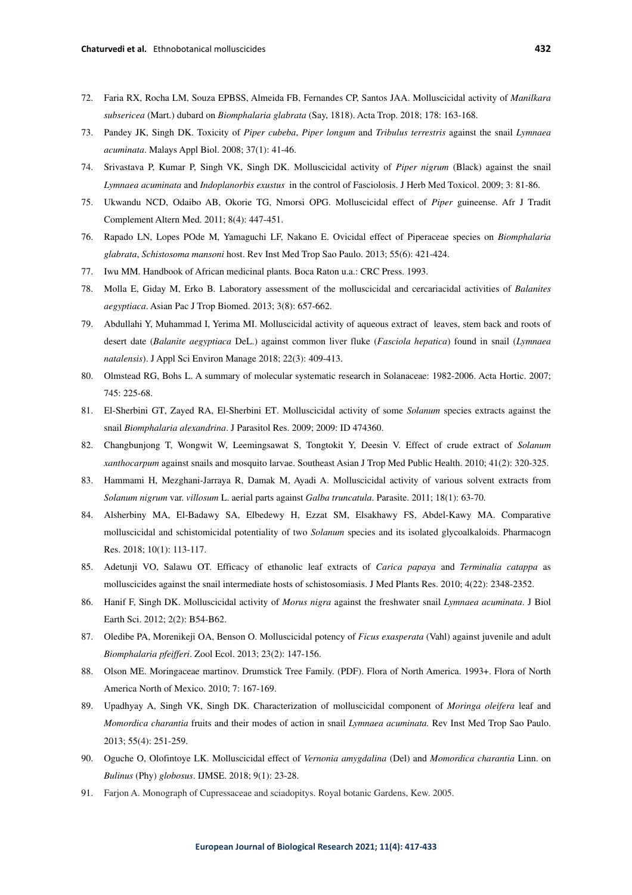- 72. Faria RX, Rocha LM, Souza EPBSS, Almeida FB, Fernandes CP, Santos JAA. Molluscicidal activity of *Manilkara subsericea* (Mart.) dubard on *Biomphalaria glabrata* (Say, 1818). Acta Trop. 2018; 178: 163-168.
- 73. Pandey JK, Singh DK. Toxicity of *Piper cubeba*, *Piper longum* and *Tribulus terrestris* against the snail *Lymnaea acuminata*. Malays Appl Biol. 2008; 37(1): 41-46.
- 74. Srivastava P, Kumar P, Singh VK, Singh DK. Molluscicidal activity of *Piper nigrum* (Black) against the snail *Lymnaea acuminata* and *Indoplanorbis exustus* in the control of Fasciolosis. J Herb Med Toxicol. 2009; 3: 81-86.
- 75. Ukwandu NCD, Odaibo AB, Okorie TG, Nmorsi OPG. Molluscicidal effect of *Piper* guineense. Afr J Tradit Complement Altern Med. 2011; 8(4): 447-451.
- 76. Rapado LN, Lopes POde M, Yamaguchi LF, Nakano E. Ovicidal effect of Piperaceae species on *Biomphalaria glabrata*, *Schistosoma mansoni* host. Rev Inst Med Trop Sao Paulo. 2013; 55(6): 421-424.
- 77. Iwu MM. Handbook of African medicinal plants. Boca Raton u.a.: CRC Press. 1993.
- 78. Molla E, Giday M, Erko B. Laboratory assessment of the molluscicidal and cercariacidal activities of *Balanites aegyptiaca*. Asian Pac J Trop Biomed. 2013; 3(8): 657-662.
- 79. Abdullahi Y, Muhammad I, Yerima MI. Molluscicidal activity of aqueous extract of leaves, stem back and roots of desert date (*Balanite aegyptiaca* DeL.) against common liver fluke (*Fasciola hepatica*) found in snail (*Lymnaea natalensis*). J Appl Sci Environ Manage 2018; 22(3): 409-413.
- 80. Olmstead RG, Bohs L. A summary of molecular systematic research in Solanaceae: 1982-2006. Acta Hortic. 2007; 745: 225-68.
- 81. El-Sherbini GT, Zayed RA, El-Sherbini ET. Molluscicidal activity of some *Solanum* species extracts against the snail *Biomphalaria alexandrina*. J Parasitol Res. 2009; 2009: ID 474360.
- 82. Changbunjong T, Wongwit W, Leemingsawat S, Tongtokit Y, Deesin V. Effect of crude extract of *Solanum xanthocarpum* against snails and mosquito larvae. Southeast Asian J Trop Med Public Health. 2010; 41(2): 320-325.
- 83. Hammami H, Mezghani-Jarraya R, Damak M, Ayadi A. Molluscicidal activity of various solvent extracts from *Solanum nigrum* var. *villosum* L. aerial parts against *Galba truncatula*. Parasite. 2011; 18(1): 63-70.
- 84. Alsherbiny MA, El-Badawy SA, Elbedewy H, Ezzat SM, Elsakhawy FS, Abdel-Kawy MA. Comparative molluscicidal and schistomicidal potentiality of two *Solanum* species and its isolated glycoalkaloids. Pharmacogn Res. 2018; 10(1): 113-117.
- 85. Adetunji VO, Salawu OT. Efficacy of ethanolic leaf extracts of *Carica papaya* and *Terminalia catappa* as molluscicides against the snail intermediate hosts of schistosomiasis. J Med Plants Res. 2010; 4(22): 2348-2352.
- 86. Hanif F, Singh DK. Molluscicidal activity of *Morus nigra* against the freshwater snail *Lymnaea acuminata*. J Biol Earth Sci. 2012; 2(2): B54-B62.
- 87. Oledibe PA, Morenikeji OA, Benson O. Molluscicidal potency of *Ficus exasperata* (Vahl) against juvenile and adult *Biomphalaria pfeifferi*. Zool Ecol. 2013; 23(2): 147-156.
- 88. Olson ME. Moringaceae martinov. Drumstick Tree Family. (PDF). Flora of North America. 1993+. Flora of North America North of Mexico. 2010; 7: 167-169.
- 89. Upadhyay A, Singh VK, Singh DK. Characterization of molluscicidal component of *Moringa oleifera* leaf and *Momordica charantia* fruits and their modes of action in snail *Lymnaea acuminata.* Rev Inst Med Trop Sao Paulo. 2013; 55(4): 251-259.
- 90. Oguche O, Olofintoye LK. Molluscicidal effect of *Vernonia amygdalina* (Del) and *Momordica charantia* Linn. on *Bulinus* (Phy) *globosus*. IJMSE. 2018; 9(1): 23-28.
- 91. Farjon A. Monograph of Cupressaceae and sciadopitys. Royal botanic Gardens, Kew. 2005.